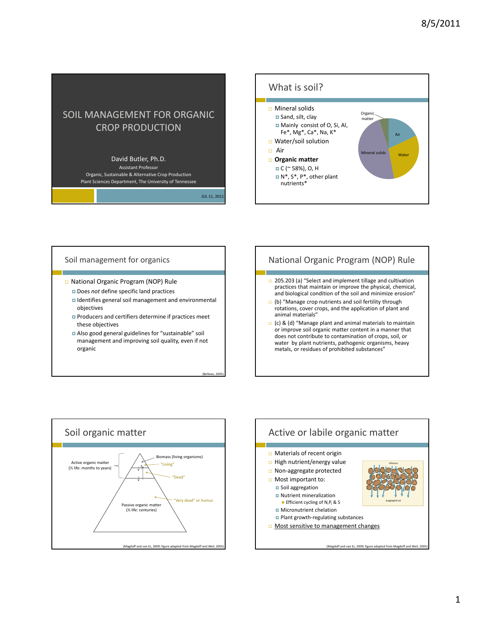# SOIL MANAGEMENT FOR ORGANIC CROP PRODUCTION

#### David Butler, Ph.D.

Assistant Professor Organic, Sustainable & Alternative Crop Production Plant Sciences Department, The University of Tennessee

JUL 11, 2011

(Bellows, 2005)



#### Soil management for organics

- National Organic Program (NOP) Rule
	- **D** Does *not* define specific land practices
	- Identifies general soil management and environmental objectives
	- **Producers and certifiers determine if practices meet** these objectives
	- Also good general guidelines for "sustainable" soil management and improving soil quality, even if not organic

# National Organic Program (NOP) Rule

- **205.203 (a) "Select and implement tillage and cultivation** practices that maintain or improve the physical, chemical, and biological condition of the soil and minimize erosion"
- (b) "Manage crop nutrients and soil fertility through rotations, cover crops, and the application of plant and animal materials"
- (c) & (d) "Manage plant and animal materials to maintain or improve soil organic matter content in a manner that does not contribute to contamination of crops, soil, or water by plant nutrients, pathogenic organisms, heavy metals, or residues of prohibited substances"



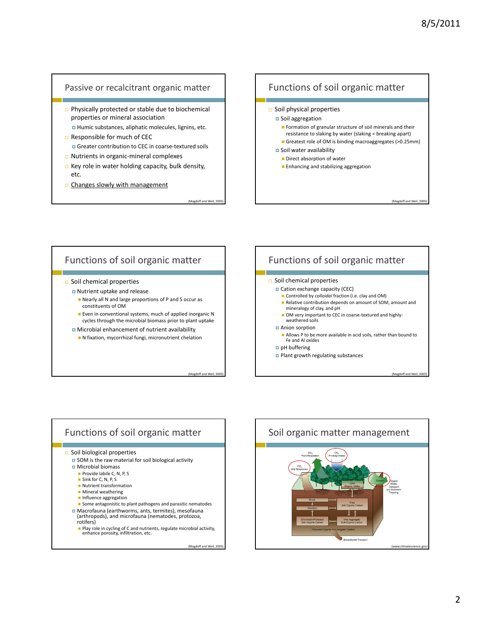#### Passive or recalcitrant organic matter

- $\Box$  Physically protected or stable due to biochemical properties or mineral association Humic substances, aliphatic molecules, lignins, etc.
- $\Box$  Responsible for much of CEC ■ Greater contribution to CEC in coarse-textured soils
- Nutrients in organic‐mineral complexes
- $\Box$  Key role in water holding capacity, bulk density, etc.
- $\Box$  Changes slowly with management

#### Functions of soil organic matter

- $\square$  Soil physical properties
	- **□** Soil aggregation
		- **Formation of granular structure of soil minerals and their** resistance to slaking by water (slaking = breaking apart)
		- Greatest role of OM is binding macroaggregates (>0.25mm)
- Soil water availability
	- Direct absorption of water
	- **Enhancing and stabilizing aggregation**

(Magdoff and Weil, 2005)

#### Functions of soil organic matter

- $\Box$  Soil chemical properties
	- Nutrient uptake and release
		- Nearly all N and large proportions of P and S occur as constituents of OM
		- **Even in conventional systems, much of applied inorganic N** cycles through the microbial biomass prior to plant uptake
	- Microbial enhancement of nutrient availability
		- N fixation, mycorrhizal fungi, micronutrient chelation

(Magdoff and Weil, 2005)

(Magdoff and Weil, 200

#### Functions of soil organic matter Soil chemical properties Cation exchange capacity (CEC) Controlled by *colloidal* fraction (i.e. clay and OM) Relative contribution depends on amount of SOM, amount and mineralogy of clay, and pH ■ OM very important to CEC in coarse-textured and highly-

weathered soils

#### Anion sorption

- Allows P to be more available in acid soils, rather than bound to Fe and Al oxides
- pH buffering
- **Plant growth regulating substances**

(Magdoff and W

#### Functions of soil organic matter  $\Box$  Soil biological properties ■ SOM is the raw material for soil biological activity **D** Microbial biomass Provide labile C, N, P, S Sink for C, N, P, S **Nutrient transformation Mineral weathering Influence aggregation** Some antagonistic to plant pathogens and parasitic nematodes Macrofauna (earthworms, ants, termites), mesofauna (arthropods), and microfauna (nematodes, protozoa, rotifers) Play role in cycling of <sup>C</sup> and nutrients, regulate microbial activity, enhance porosity, infiltration, etc.

(Magdoff and Weil, 2005)

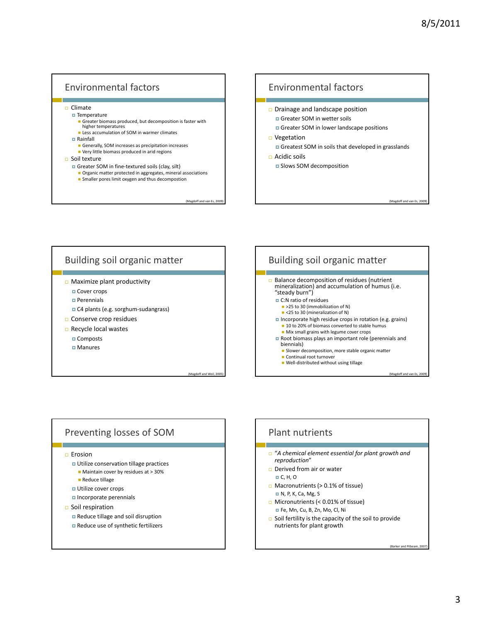# Environmental factors

□ Climate

- $\blacksquare$  Temperature
	- Greater biomass produced, but decomposition is faster with higher temperatures
- **E** Less accumulation of SOM in warmer climates
- Rainfall
	- Generally, SOM increases as precipitation increases
	- Very little biomass produced in arid regions

#### $\Box$  Soil texture

- Greater SOM in fine‐textured soils (clay, silt)
	- **Organic matter protected in aggregates, mineral associations** Smaller pores limit oxygen and thus decompostion
		- - (Magdoff and van Es, 200

# Environmental factors  $\Box$  Drainage and landscape position Greater SOM in wetter soils Greater SOM in lower landscape positions □ Vegetation Greatest SOM in soils that developed in grasslands  $\Box$  Acidic soils **B** Slows SOM decomposition (Magdoff and van Es, 2009)

# Building soil organic matter

- Maximize plant productivity
	- □ Cover crops
	- **Perennials**
	- C4 plants (e.g. sorghum-sudangrass)
- Conserve crop residues
- Recycle local wastes
	- **□** Composts
	- **□** Manures

#### (Magdoff and Weil, 2005)

#### Building soil organic matter **Balance decomposition of residues (nutrient** mineralization) and accumulation of humus (i.e. "steady burn") C:N ratio of residues >25 to 30 (immobilization of N) ■ <25 to 30 (mineralization of N) Incorporate high residue crops in rotation (e.g. grains) ■ 10 to 20% of biomass converted to stable humus Mix small grains with legume cover crops Root biomass plays an important role (perennials and biennials) **Slower decomposition, more stable organic matter Continual root turnover** ■ Well-distributed without using tillage

#### Preventing losses of SOM

 $E$  Erosion

- Utilize conservation tillage practices
	- **Maintain cover by residues at > 30%**
- **Reduce tillage**
- **u** Utilize cover crops
- Incorporate perennials
- $\Box$  Soil respiration
	- Reduce tillage and soil disruption
	- Reduce use of synthetic fertilizers

# Plant nutrients "*A chemical element essential for plant growth and reproduction*"  $\Box$  Derived from air or water C, H, O  $\Box$  Macronutrients (> 0.1% of tissue) N, P, K, Ca, Mg, S □ Micronutrients (< 0.01% of tissue) Fe, Mn, Cu, B, Zn, Mo, Cl, Ni Soil fertility is the capacity of the soil to provide nutrients for plant growth

(Barker and Pilbeam, 2007)

(Magdoff and van Es, 20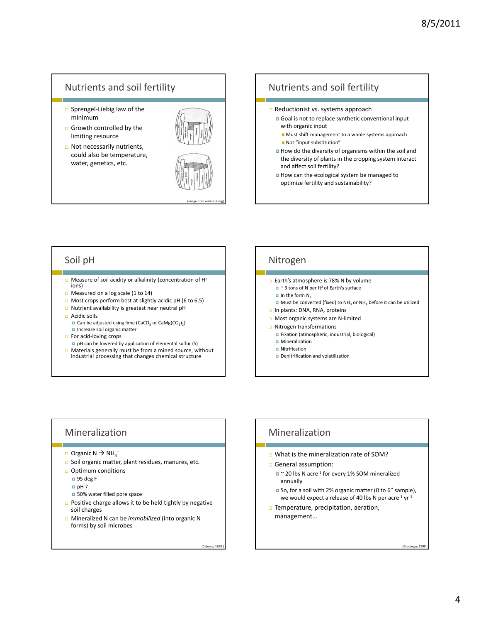# Nutrients and soil fertility

- □ Sprengel-Liebig law of the minimum
- $\Box$  Growth controlled by the limiting resource
- □ Not necessarily nutrients, could also be temperature, water, genetics, etc.



(Image from waternut.org)

(Cabrera, 1998 )

#### Nutrients and soil fertility Reductionist vs. systems approach Goal is not to replace synthetic conventional input with organic input **Must shift management to a whole systems approach**  Not "input substitution" How do the diversity of organisms within the soil and the diversity of plants in the cropping system interact

and affect soil fertility? How can the ecological system be managed to optimize fertility and sustainability?

Soil pH

- □ Measure of soil acidity or alkalinity (concentration of H<sup>+</sup> ions)
- □ Measured on a log scale (1 to 14)
- $\Box$  Most crops perform best at slightly acidic pH (6 to 6.5)
- □ Nutrient availability is greatest near neutral pH
- □ Acidic soils
	- $\Box$  Can be adjusted using lime (CaCO<sub>3</sub> or CaMg(CO<sub>3</sub>)<sub>2</sub>)
- $\blacksquare$  Increase soil organic matter
- □ For acid-loving crops
- $\Box$  pH can be lowered by application of elemental sulfur (S)
- **D** Materials generally must be from a mined source, without industrial processing that changes chemical structure

#### Nitrogen

- **Earth's atmosphere is 78% N by volume** 
	- $\blacksquare$  ~ 3 tons of N per ft<sup>2</sup> of Earth's surface
	- $\Box$  In the form N<sub>2</sub>
	- Must be converted (fixed) to  $NH<sub>3</sub>$  or  $NH<sub>4</sub>$  before it can be utilized
- $\Box$  In plants: DNA, RNA, proteins
- □ Most organic systems are N-limited
- Nitrogen transformations
	- Fixation (atmospheric, industrial, biological)
	- **D** Mineralization
	- **Nitrification**
	- Denitrification and volatilization

#### Mineralization

- $\Box$  Organic N  $\rightarrow$  NH<sub>4</sub><sup>+</sup>
- Soil organic matter, plant residues, manures, etc.
- $\Box$  Optimum conditions
	- $\Box$  95 deg F
	- $pH 7$
	- 50% water filled pore space
- **Positive charge allows it to be held tightly by negative** soil charges
- Mineralized N can be *immobilized* (into organic N forms) by soil microbes

# Mineralization

- □ What is the mineralization rate of SOM?
- General assumption:
	- ~ 20 lbs N acre<sup>-1</sup> for every 1% SOM mineralized annually
	- So, for a soil with 2% organic matter (0 to 6" sample), we would expect a release of 40 lbs N per acre<sup>-1</sup> yr<sup>-1</sup>
- Temperature, precipitation, aeration, management…

(Grubinger, 1999 )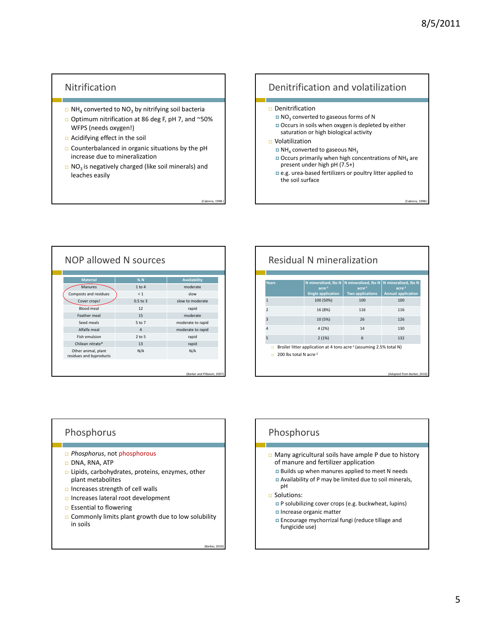(Cabrera, 1998 )

# Nitrification

- $\Box$  NH<sub>4</sub> converted to NO<sub>3</sub> by nitrifying soil bacteria
- Optimum nitrification at 86 deg F, pH 7, and ~50% WFPS (needs oxygen!)
- Acidifying effect in the soil
- $\square$  Counterbalanced in organic situations by the pH increase due to mineralization
- $\Box$  NO<sub>3</sub> is negatively charged (like soil minerals) and leaches easily

(Cabrera, 199

(Barker, 2010)

# Denitrification and volatilization

#### □ Denitrification

- $\blacksquare$  NO<sub>3</sub> converted to gaseous forms of N
- Occurs in soils when oxygen is depleted by either saturation or high biological activity
- □ Volatilization
	- NH4 converted to gaseous NH3
	- $\Box$  Occurs primarily when high concentrations of NH<sub>4</sub> are present under high pH (7.5+)
	- e.g. urea-based fertilizers or poultry litter applied to the soil surface

| NOP allowed N sources                          |                |                   |  |  |  |  |
|------------------------------------------------|----------------|-------------------|--|--|--|--|
| <b>Material</b>                                | %N             | Availability      |  |  |  |  |
| <b>Manures</b>                                 | $1$ to $4$     | moderate          |  |  |  |  |
| Composts and residues                          | $\leq 1$       | slow              |  |  |  |  |
| Cover crops!                                   | $0.5$ to $3$   | slow to moderate  |  |  |  |  |
| <b>Blood meal</b>                              | 12             | rapid             |  |  |  |  |
| Feather meal                                   | 15             | moderate          |  |  |  |  |
| Seed meals                                     | 5 to 7         | moderate to rapid |  |  |  |  |
| Alfalfa meal                                   | $\overline{a}$ | moderate to rapid |  |  |  |  |
| Fish emulsion                                  | $2$ to $5$     | rapid             |  |  |  |  |
| Chilean nitrate*                               | 13             | rapid             |  |  |  |  |
| Other animal, plant<br>residues and byproducts | N/A            | N/A               |  |  |  |  |

#### Residual N mineralization **Years**  $\vert$  **N** mineralized, lbs N **Single application N mineralized, lbs N acre‐<sup>1</sup> Two applications N mineralized, lbs N acre‐<sup>1</sup> Annual application** 100 (50%) 100 100 100 2 16 (8%) 116 116 3 10 (5%) 26 126 4 4 (2%) 14 130 5 2 (1%) 6 132 ■ Broiler litter application at 4 tons acre<sup>-1</sup> (assuming 2.5% total N)  $\Box$  200 lbs total N acre<sup>-1</sup> (Adapted from Barker, 2010)

#### Phosphorus

- *Phosphorus*, not phosphorous
- □ DNA, RNA, ATP
- Lipids, carbohydrates, proteins, enzymes, other plant metabolites
- $\Box$  Increases strength of cell walls
- Increases lateral root development
- $\Box$  Essential to flowering
- $\Box$  Commonly limits plant growth due to low solubility in soils

Phosphorus

- Many agricultural soils have ample P due to history of manure and fertilizer application
	- Builds up when manures applied to meet N needs
	- Availability of P may be limited due to soil minerals, pH
- □ Solutions:
	- **P** solubilizing cover crops (e.g. buckwheat, lupins)
	- Increase organic matter
	- **Encourage mychorrizal fungi (reduce tillage and** fungicide use)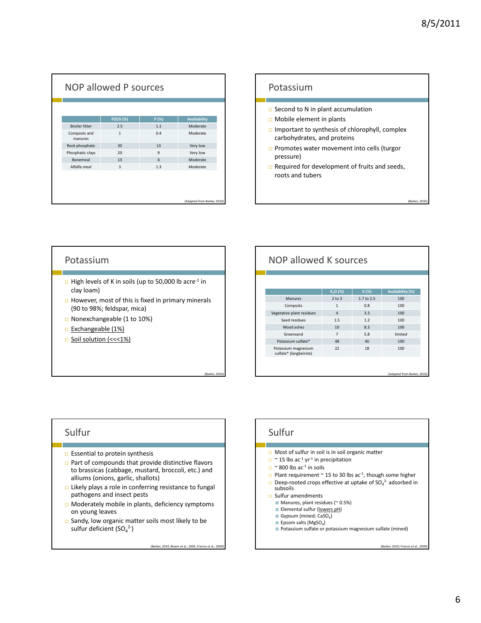(Barker, 2010)

|                         | P2O5 (%)       | P(%)         | Availability |
|-------------------------|----------------|--------------|--------------|
| <b>Broiler litter</b>   | 2.5            | 1.1          | Moderate     |
| Composts and<br>manures | $\mathbf{1}$   | 0.4          | Moderate     |
| Rock phosphate          | 30             | 13           | Very low     |
| Phosphatic clays        | 20             | $\mathbf{q}$ | Very low     |
| Bonemeal                | 13             | 6            | Moderate     |
| Alfalfa meal            | $\overline{3}$ | 1.3          | Moderate     |

#### Potassium

- $\square$  Second to N in plant accumulation
- Mobile element in plants
- Important to synthesis of chlorophyll, complex carbohydrates, and proteins
- **Promotes water movement into cells (turgor** pressure)
- $\Box$  Required for development of fruits and seeds, roots and tubers

#### Potassium

- □ High levels of K in soils (up to 50,000 lb acre<sup>-1</sup> in clay loam)
- $\Box$  However, most of this is fixed in primary minerals (90 to 98%; feldspar, mica)
- Nonexchangeable (1 to 10%)
- Exchangeable (1%)
- □ Soil solution (<<<1%)

# NOP allowed K sources

| K <sub>2</sub> O (%) | $K(\%)$    | <b>Availability (%)</b> |
|----------------------|------------|-------------------------|
| $2$ to $3$           | 1.7 to 2.5 | 100                     |
| $\mathbf{1}$         | 0.8        | 100                     |
| $\overline{4}$       | 3.3        | 100                     |
| 1.5                  | 1.2        | 100                     |
| 10                   | 8.3        | 100                     |
| $\overline{7}$       | 5.8        | limited                 |
| 48                   | 40         | 100                     |
| 22                   | 18         | 100                     |
|                      |            |                         |
|                      |            |                         |
|                      |            |                         |

#### Sulfur

- $\Box$  Essential to protein synthesis
- Part of compounds that provide distinctive flavors to brassicas (cabbage, mustard, broccoli, etc.) and alliums (onions, garlic, shallots)
- Likely plays a role in conferring resistance to fungal pathogens and insect pests
- **D** Moderately mobile in plants, deficiency symptoms on young leaves
- $\square$  Sandy, low organic matter soils most likely to be sulfur deficient (SO $_4^2$ -)

(Barker, 2010, Bloem et al., 2005, Francis et al., 2009)

(Barker, 2010)

#### Sulfur

- $\Box$  Most of sulfur in soil is in soil organic matter
- $\Box$  ~ 15 lbs ac<sup>-1</sup> yr<sup>-1</sup> in precipitation
- $\Box$  ~ 800 lbs ac<sup>-1</sup> in soils
- **Plant requirement ~ 15 to 30 lbs ac<sup>-1</sup>, though some higher**
- $\Box$  Deep-rooted crops effective at uptake of SO<sub>4</sub><sup>2</sup> adsorbed in subsoils

□ Sulfur amendments

- Manures, plant residues (~ 0.5%)
- **Elemental sulfur (lowers pH)**
- Gypsum (mined; CaSO<sub>4</sub>)
- $\Box$  Epsom salts (MgSO<sub>4</sub>)
- Potassium sulfate or potassium magnesium sulfate (mined)

(Barker, 2010; Francis et al., 200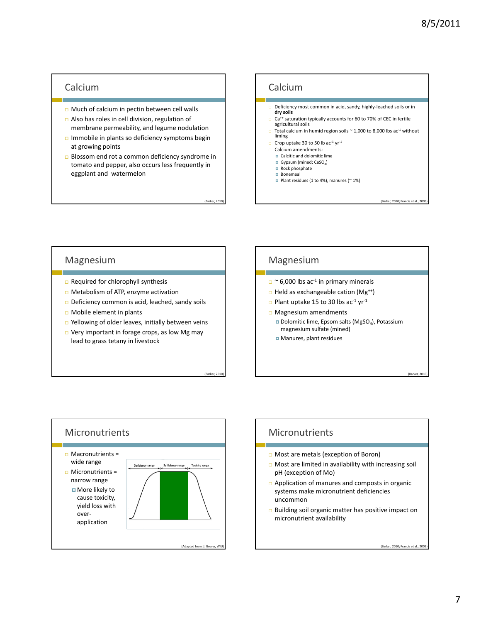#### Calcium

- $\Box$  Much of calcium in pectin between cell walls
- Also has roles in cell division, regulation of membrane permeability, and legume nodulation
- Immobile in plants so deficiency symptoms begin at growing points
- Blossom end rot a common deficiency syndrome in tomato and pepper, also occurs less frequently in eggplant and watermelon

(Barker, 2010)

(Barker, 2010)

#### Calcium

- Deficiency most common in acid, sandy, highly‐leached soils or in **dry soils**
- Ca<sup>++</sup> saturation typically accounts for 60 to 70% of CEC in fertile agricultural soils
- □ Total calcium in humid region soils  $\sim$  1,000 to 8,000 lbs ac<sup>-1</sup> without liming
- Crop uptake 30 to 50 lb ac<sup>-1</sup> yr<sup>-1</sup>
- Calcium amendments:
	- **D** Calcitic and dolomitic lime
	- Gypsum (mined;  $CaSO<sub>4</sub>$ )  $Rock phosphate$
	- **Bonemeal**
- Plant residues (1 to 4%), manures ( $\sim$  1%)

(Barker, 2010; Francis et al., 2009)

(Barker, 2010)

#### Magnesium

- □ Required for chlorophyll synthesis
- □ Metabolism of ATP, enzyme activation
- Deficiency common is acid, leached, sandy soils
- Mobile element in plants
- □ Yellowing of older leaves, initially between veins
- $\Box$  Very important in forage crops, as low Mg may lead to grass tetany in livestock

#### Magnesium

- $\Box$  ~ 6,000 lbs ac<sup>-1</sup> in primary minerals
- $\Box$  Held as exchangeable cation (Mg<sup>++</sup>)
- Plant uptake 15 to 30 lbs  $ac^{-1}$  yr<sup>-1</sup>
- Magnesium amendments Dolomitic lime, Epsom salts (MgSO<sub>4</sub>), Potassium
	- magnesium sulfate (mined)
	- Manures, plant residues



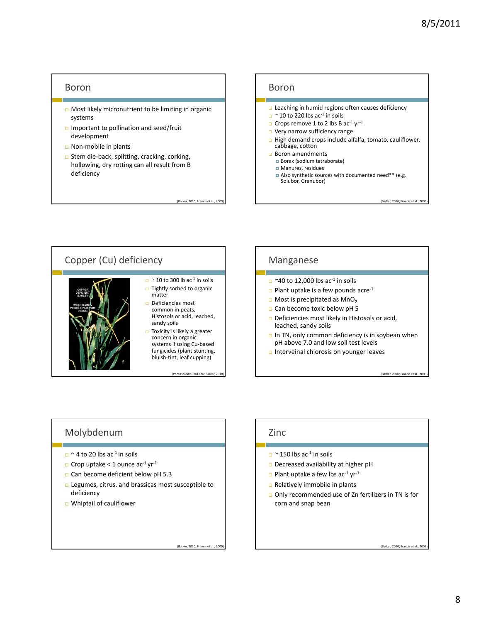#### Boron

- Most likely micronutrient to be limiting in organic systems
- Important to pollination and seed/fruit development
- Non‐mobile in plants
- □ Stem die-back, splitting, cracking, corking, hollowing, dry rotting can all result from B deficiency





#### Manganese

- $\Box$  ~40 to 12,000 lbs ac<sup>-1</sup> in soils
- $\Box$  Plant uptake is a few pounds acre<sup>-1</sup>
- $\Box$  Most is precipitated as MnO<sub>2</sub>
- Can become toxic below pH 5
- Deficiencies most likely in Histosols or acid, leached, sandy soils
- $\Box$  In TN, only common deficiency is in soybean when pH above 7.0 and low soil test levels
- Interveinal chlorosis on younger leaves

#### Molybdenum

- $\Box$  ~ 4 to 20 lbs ac<sup>-1</sup> in soils
- $\Box$  Crop uptake < 1 ounce ac<sup>-1</sup> yr<sup>-1</sup>
- Can become deficient below pH 5.3
- Legumes, citrus, and brassicas most susceptible to deficiency
- Whiptail of cauliflower

Zinc

- $\Box$  ~ 150 lbs ac<sup>-1</sup> in soils
- $\square$  Decreased availability at higher pH
- $\square$  Plant uptake a few lbs ac<sup>-1</sup> yr<sup>-1</sup>
- $\Box$  Relatively immobile in plants
- □ Only recommended use of Zn fertilizers in TN is for corn and snap bean

(Barker, 2010; Francis et al.,

(Barker, 2010; Francis et al., 20

(Barker, 2010; Francis et al., 200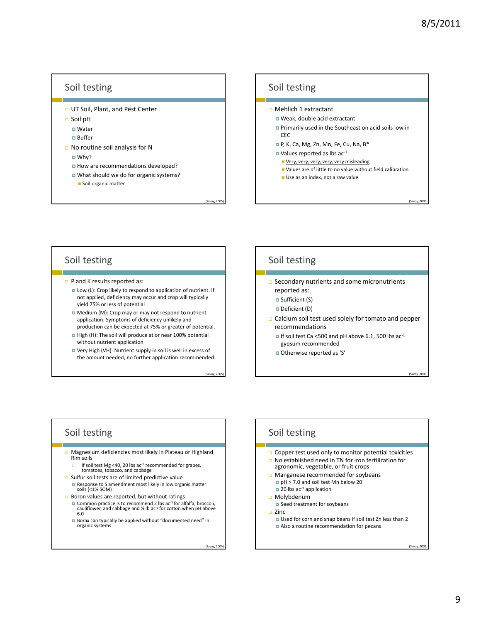$(Savoy, 200)$ 

(Savoy, 2005)

(Savoy, 2005)

#### Soil testing

- UT Soil, Plant, and Pest Center
- Soil pH
	- **□** Water
	- **Buffer**
- No routine soil analysis for N
	- Why?
	- How are recommendations developed?
	- What should we do for organic systems?
		- Soil organic matter

#### Soil testing

- Mehlich 1 extractant
	- Weak, double acid extractant
	- Primarily used in the Southeast on acid soils low in CEC
	- P, K, Ca, Mg, Zn, Mn, Fe, Cu, Na, B\*
	- $\blacksquare$  Values reported as lbs ac<sup>-1</sup>
	- Very, very, very, very, very misleading
	- Values are of little to no value without field calibration
	- Use as an index, not a raw value

#### Soil testing

- □ P and K results reported as:
	- Low (L): Crop likely to respond to application of nutrient. If not applied, deficiency may occur and crop will typically yield 75% or less of potential
	- Medium (M): Crop may or may not respond to nutrient application. Symptoms of deficiency unlikely and production can be expected at 75% or greater of potential.
	- High (H): The soil will produce at or near 100% potential without nutrient application
	- Very High (VH): Nutrient supply in soil is well in excess of the amount needed, no further application recommended.

(Savoy, 2005)

(Savoy, 2005)

 $(Savoy, 200)$ 

#### Soil testing

- □ Secondary nutrients and some micronutrients reported as:
	- **□** Sufficient (S)
	- Deficient (D)
	-
- Calcium soil test used solely for tomato and pepper recommendations
	- If soil test Ca <500 and pH above 6.1, 500 lbs  $ac^{-1}$ gypsum recommended
	- Otherwise reported as 'S'

#### Soil testing

- Magnesium deficiencies most likely in Plateau or Highland Rim soils
	- If soil test Mg <40, 20 lbs ac<sup>-1</sup> recommended for grapes, tomatoes, tobacco, and cabbage
- $\square$  Sulfur soil tests are of limited predictive value
	- Response to <sup>S</sup> amendment most likely in low organic matter soils (<1% SOM)
- 
- **Boron values are reported, but without ratings**<br>**E** Common practice is to recommend 2 lbs ac<sup>-1</sup> for alfalfa, broccoli, ■ Common practice is to recommend 2 lbs ac<sup>-1</sup> for alfalfa, broccoli,<br>cauliflower, and cabbage and ½ lb ac<sup>-1</sup> for cotton when pH above<br>6.0
	- Borax can typically be applied without "documented need" in organic systems

# Soil testing

- $\Box$  Copper test used only to monitor potential toxicities
- □ No established need in TN for iron fertilization for agronomic, vegetable, or fruit crops
- Manganese recommended for soybeans pH > 7.0 and soil test Mn below 20
	- $\Box$  20 lbs ac<sup>-1</sup> application
- Molybdenum □ Seed treatment for soybeans
- Zinc
	- Used for corn and snap beans if soil test Zn less than 2 Also a routine recommendation for pecans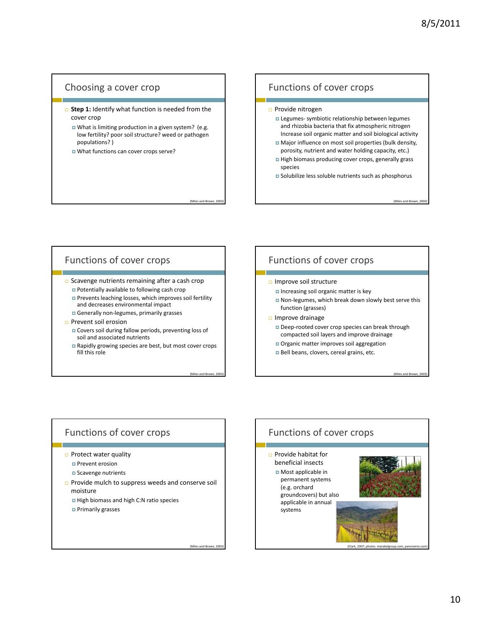#### Choosing a cover crop

- **B** Step 1: Identify what function is needed from the cover crop
	- What is limiting production in a given system? (e.g. low fertility? poor soil structure? weed or pathogen populations? )
	- What functions can cover crops serve?

#### Functions of cover crops

- □ Provide nitrogen
	- **□ Legumes- symbiotic relationship between legumes** and rhizobia bacteria that fix atmospheric nitrogen Increase soil organic matter and soil biological activity
	- Major influence on most soil properties (bulk density, porosity, nutrient and water holding capacity, etc.)
	- High biomass producing cover crops, generally grass species
	- Solubilize less soluble nutrients such as phosphorus

(Miles and Brown, 2003)

(Miles and Brown, 2003)

#### Functions of cover crops

- □ Scavenge nutrients remaining after a cash crop Potentially available to following cash crop
	- **Prevents leaching losses, which improves soil fertility** and decreases environmental impact
	- Generally non-legumes, primarily grasses
- **Prevent soil erosion** 
	- Covers soil during fallow periods, preventing loss of soil and associated nutrients
	- Rapidly growing species are best, but most cover crops fill this role

(Miles and Brown, 2003)

(Miles and Brown, 2003)

(Miles and Brown, 200

#### Functions of cover crops

- □ Improve soil structure
	- Increasing soil organic matter is key
	- Non-legumes, which break down slowly best serve this function (grasses)
- $\Box$  Improve drainage
	- □ Deep-rooted cover crop species can break through compacted soil layers and improve drainage
	- Organic matter improves soil aggregation
	- Bell beans, clovers, cereal grains, etc.

# Functions of cover crops

- $\Box$  Protect water quality
	- **Prevent erosion**
	- **□** Scavenge nutrients
- **Provide mulch to suppress weeds and conserve soil** moisture
	- High biomass and high C:N ratio species
	- **D** Primarily grasses

Functions of cover crops  $\Box$  Provide habitat for beneficial insects Most applicable in permanent systems (e.g. orchard groundcovers) but also applicable in annual systems

(Clark, 2007; photos: marabelgroup.com, panoramio.com)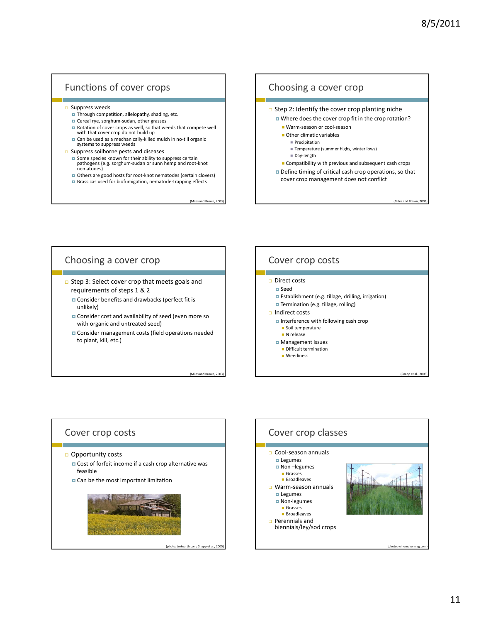# Functions of cover crops

#### $\square$  Suppress weeds

- **Through competition, allelopathy, shading, etc.**
- Cereal rye, sorghum-sudan, other grasses
- Rotation of cover crops as well, so that weeds that compete well with that cover crop do not build up
- Can be used as a mechanically-killed mulch in no-till organic systems to suppress weeds
- 
- **□** Suppress soilborne pests and diseases <br>**□** Some species known for their ability to suppress certain ■ Some species known for their ability to suppress certain<br>pathogens (e.g. sorghum-sudan or sunn hemp and root-knot<br>nematodes)
	- Others are good hosts for root-knot nematodes (certain clovers) ■ Brassicas used for biofumigation, nematode-trapping effects
		-

(Miles and Brown, 2003)

(Miles and Brown, 2003)

(photo: trekearth.com; Snapp et al., 2005)



#### Choosing a cover crop

- □ Step 3: Select cover crop that meets goals and requirements of steps 1 & 2
	- **O** Consider benefits and drawbacks (perfect fit is unlikely)
	- **D** Consider cost and availability of seed (even more so with organic and untreated seed)
	- **O** Consider management costs (field operations needed to plant, kill, etc.)

# Cover crop costs

#### $\Box$  Direct costs

- **□** Seed
- Establishment (e.g. tillage, drilling, irrigation)
- **Termination (e.g. tillage, rolling)**

#### □ Indirect costs

- Interference with following cash crop
- Soil temperature
- **N** release
- **D** Management issues
	- Difficult termination **Weediness**

# Cover crop costs □ Opportunity costs Cost of forfeit income if a cash crop alternative was feasible **Q** Can be the most important limitation



(Snapp et al.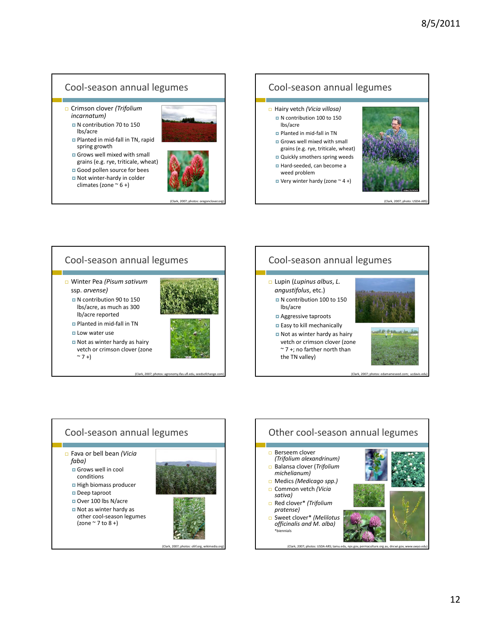#### Cool‐season annual legumes Crimson clover *(Trifolium incarnatum)* N contribution 70 to 150 lbs/acre Planted in mid‐fall in TN, rapid spring growth Grows well mixed with small grains (e.g. rye, triticale, wheat) Good pollen source for bees ■ Not winter-hardy in colder climates (zone  $\sim$  6 +) (Clark, 2007; photos: oregonclover.org) Cool‐season annual legumes Hairy vetch *(Vicia villosa)* N contribution 100 to 150 lbs/acre Planted in mid‐fall in TN Grows well mixed with small grains (e.g. rye, triticale, wheat) Quickly smothers spring weeds Hard‐seeded, can become a weed problem  $\Box$  Very winter hardy (zone  $\sim$  4 +) (Clark, 2007; ph





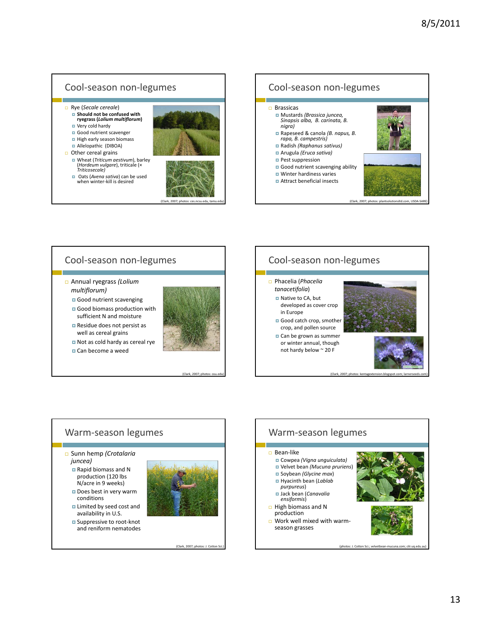

# Cool‐season non‐legumes

- Annual ryegrass *(Lolium multiflorum)*
	- Good nutrient scavenging
	- Good biomass production with sufficient N and moisture
	- Residue does not persist as well as cereal grains
	- Not as cold hardy as cereal rye Can become a weed



(Clark, 2007; pho

# Cool‐season non‐legumes

#### Phacelia (*Phacelia tanacetifolia*)

- Native to CA, but developed as cover crop in Europe
- Good catch crop, smother crop, and pollen source
- Can be grown as summer or winter annual, though not hardy below ~ 20 F



(Clark, 2007; photos: kentagextension.blogspot.com; larnerseeds.com)



#### Warm‐season legumes Sunn hemp *(Crotalaria juncea)* Rapid biomass and N production (120 lbs N/acre in 9 weeks) Does best in very warm conditions **Limited by seed cost and** availability in U.S. ■ Suppressive to root-knot and reniform nematodes

(Clark, 2007; photos: J. Cott

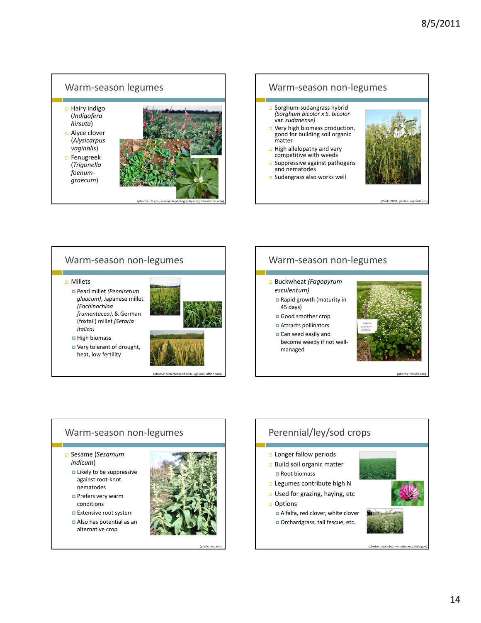



(photos: preferredseed.com, uga.edu, hffinc.com)

(photo: ksu.edu)

# Warm‐season non‐legumes

#### Buckwheat *(Fagopyrum*

- *esculentum)* Rapid growth (maturity in 45 days)
- Good smother crop
- Attracts pollinators
- **□** Can seed easily and become weedy if not well‐ managed



#### (photos: cornell.edu)

#### Warm‐season non‐legumes Sesame (*Sesamum indicum*) Likely to be suppressive against root‐knot nematodes **Prefers very warm** conditions **Extensive root system**  Also has potential as an alternative crop